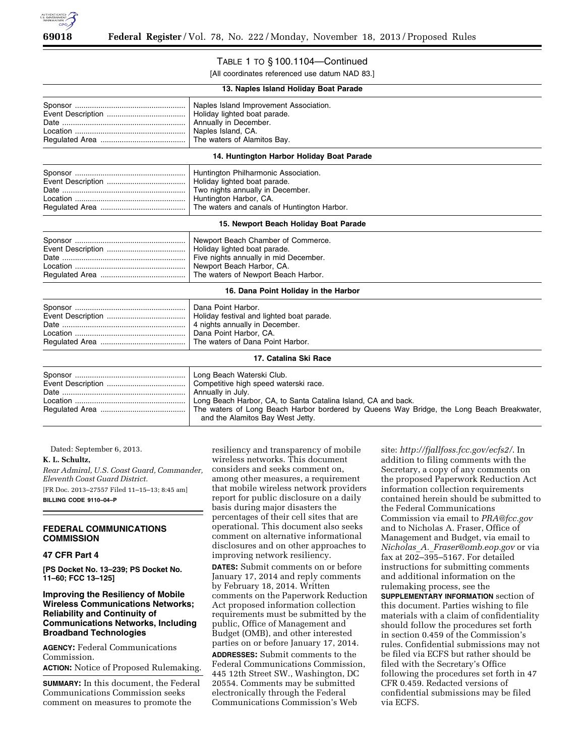

# TABLE 1 TO § 100.1104—Continued

[All coordinates referenced use datum NAD 83.]

| 13. Naples Island Holiday Boat Parade     |                                                                                                                                                                                                                                                                                           |
|-------------------------------------------|-------------------------------------------------------------------------------------------------------------------------------------------------------------------------------------------------------------------------------------------------------------------------------------------|
|                                           | Naples Island Improvement Association.<br>Holiday lighted boat parade.<br>Annually in December.<br>Naples Island, CA.<br>The waters of Alamitos Bay.                                                                                                                                      |
| 14. Huntington Harbor Holiday Boat Parade |                                                                                                                                                                                                                                                                                           |
|                                           | Huntington Philharmonic Association.<br>Holiday lighted boat parade.<br>Two nights annually in December.<br>Huntington Harbor, CA.<br>The waters and canals of Huntington Harbor.                                                                                                         |
| 15. Newport Beach Holiday Boat Parade     |                                                                                                                                                                                                                                                                                           |
|                                           | Newport Beach Chamber of Commerce.<br>Holiday lighted boat parade.<br>Five nights annually in mid December.<br>Newport Beach Harbor, CA.<br>The waters of Newport Beach Harbor.                                                                                                           |
| 16. Dana Point Holiday in the Harbor      |                                                                                                                                                                                                                                                                                           |
|                                           | Dana Point Harbor.<br>Holiday festival and lighted boat parade.<br>4 nights annually in December.<br>Dana Point Harbor, CA.<br>The waters of Dana Point Harbor.                                                                                                                           |
| 17. Catalina Ski Race                     |                                                                                                                                                                                                                                                                                           |
|                                           | Long Beach Waterski Club.<br>Competitive high speed waterski race.<br>Annually in July.<br>Long Beach Harbor, CA, to Santa Catalina Island, CA and back.<br>The waters of Long Beach Harbor bordered by Queens Way Bridge, the Long Beach Breakwater,<br>and the Alamitos Bay West Jetty. |

Dated: September 6, 2013.

#### **K. L. Schultz,**

*Rear Admiral, U.S. Coast Guard, Commander, Eleventh Coast Guard District.*  [FR Doc. 2013–27557 Filed 11–15–13; 8:45 am] **BILLING CODE 9110–04–P** 

### **FEDERAL COMMUNICATIONS COMMISSION**

## **47 CFR Part 4**

**[PS Docket No. 13–239; PS Docket No. 11–60; FCC 13–125]** 

### **Improving the Resiliency of Mobile Wireless Communications Networks; Reliability and Continuity of Communications Networks, Including Broadband Technologies**

**AGENCY:** Federal Communications Commission.

**ACTION:** Notice of Proposed Rulemaking.

**SUMMARY:** In this document, the Federal Communications Commission seeks comment on measures to promote the

resiliency and transparency of mobile wireless networks. This document considers and seeks comment on, among other measures, a requirement that mobile wireless network providers report for public disclosure on a daily basis during major disasters the percentages of their cell sites that are operational. This document also seeks comment on alternative informational disclosures and on other approaches to improving network resiliency.

**DATES:** Submit comments on or before January 17, 2014 and reply comments by February 18, 2014. Written comments on the Paperwork Reduction Act proposed information collection requirements must be submitted by the public, Office of Management and Budget (OMB), and other interested parties on or before January 17, 2014.

**ADDRESSES:** Submit comments to the Federal Communications Commission, 445 12th Street SW., Washington, DC 20554. Comments may be submitted electronically through the Federal Communications Commission's Web

site: *<http://fjallfoss.fcc.gov/ecfs2/>*. In addition to filing comments with the Secretary, a copy of any comments on the proposed Paperwork Reduction Act information collection requirements contained herein should be submitted to the Federal Communications Commission via email to *[PRA@fcc.gov](mailto:PRA@fcc.gov)*  and to Nicholas A. Fraser, Office of Management and Budget, via email to *Nicholas*\_*A.*\_*[Fraser@omb.eop.gov](mailto:Nicholas_A._Fraser@omb.eop.gov)* or via fax at 202–395–5167. For detailed instructions for submitting comments and additional information on the rulemaking process, see the **SUPPLEMENTARY INFORMATION** section of this document. Parties wishing to file materials with a claim of confidentiality should follow the procedures set forth in section 0.459 of the Commission's rules. Confidential submissions may not be filed via ECFS but rather should be filed with the Secretary's Office following the procedures set forth in 47 CFR 0.459. Redacted versions of confidential submissions may be filed via ECFS.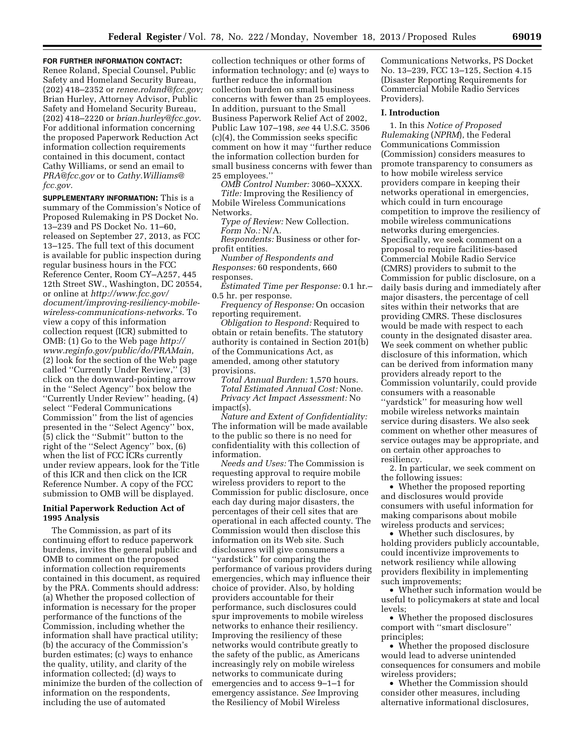## **FOR FURTHER INFORMATION CONTACT:**

Renee Roland, Special Counsel, Public Safety and Homeland Security Bureau, (202) 418–2352 or *[renee.roland@fcc.gov;](mailto:renee.roland@fcc.gov)*  Brian Hurley, Attorney Advisor, Public Safety and Homeland Security Bureau, (202) 418–2220 or *[brian.hurley@fcc.gov](mailto:brian.hurley@fcc.gov)*. For additional information concerning the proposed Paperwork Reduction Act information collection requirements contained in this document, contact Cathy Williams, or send an email to *[PRA@fcc.gov](mailto:PRA@fcc.gov)* or to *[Cathy.Williams@](mailto:Cathy.Williams@fcc.gov) [fcc.gov.](mailto:Cathy.Williams@fcc.gov)* 

**SUPPLEMENTARY INFORMATION:** This is a summary of the Commission's Notice of Proposed Rulemaking in PS Docket No. 13–239 and PS Docket No. 11–60, released on September 27, 2013, as FCC 13–125. The full text of this document is available for public inspection during regular business hours in the FCC Reference Center, Room CY–A257, 445 12th Street SW., Washington, DC 20554, or online at *[http://www.fcc.gov/](http://www.fcc.gov/document/improving-resiliency-mobile-wireless-communications-networks) [document/improving-resiliency-mobile](http://www.fcc.gov/document/improving-resiliency-mobile-wireless-communications-networks)[wireless-communications-networks](http://www.fcc.gov/document/improving-resiliency-mobile-wireless-communications-networks)*. To view a copy of this information collection request (ICR) submitted to OMB: (1) Go to the Web page *[http://](http://www.reginfo.gov/public/do/PRAMain) [www.reginfo.gov/public/do/PRAMain,](http://www.reginfo.gov/public/do/PRAMain)*  (2) look for the section of the Web page called ''Currently Under Review,'' (3) click on the downward-pointing arrow in the ''Select Agency'' box below the ''Currently Under Review'' heading, (4) select ''Federal Communications Commission'' from the list of agencies presented in the ''Select Agency'' box, (5) click the ''Submit'' button to the right of the ''Select Agency'' box, (6) when the list of FCC ICRs currently under review appears, look for the Title of this ICR and then click on the ICR Reference Number. A copy of the FCC submission to OMB will be displayed.

### **Initial Paperwork Reduction Act of 1995 Analysis**

The Commission, as part of its continuing effort to reduce paperwork burdens, invites the general public and OMB to comment on the proposed information collection requirements contained in this document, as required by the PRA. Comments should address: (a) Whether the proposed collection of information is necessary for the proper performance of the functions of the Commission, including whether the information shall have practical utility; (b) the accuracy of the Commission's burden estimates; (c) ways to enhance the quality, utility, and clarity of the information collected; (d) ways to minimize the burden of the collection of information on the respondents, including the use of automated

collection techniques or other forms of information technology; and (e) ways to further reduce the information collection burden on small business concerns with fewer than 25 employees. In addition, pursuant to the Small Business Paperwork Relief Act of 2002, Public Law 107–198, *see* 44 U.S.C. 3506 (c)(4), the Commission seeks specific comment on how it may ''further reduce the information collection burden for small business concerns with fewer than 25 employees.''

*OMB Control Number:* 3060–XXXX. *Title:* Improving the Resiliency of Mobile Wireless Communications Networks.

*Type of Review:* New Collection. *Form No.:* N/A.

*Respondents:* Business or other forprofit entities.

*Number of Respondents and Responses:* 60 respondents, 660 responses.

*Estimated Time per Response:* 0.1 hr.– 0.5 hr. per response.

*Frequency of Response:* On occasion reporting requirement.

*Obligation to Respond:* Required to obtain or retain benefits. The statutory authority is contained in Section 201(b) of the Communications Act, as amended, among other statutory provisions.

*Total Annual Burden:* 1,570 hours. *Total Estimated Annual Cost:* None. *Privacy Act Impact Assessment:* No impact(s).

*Nature and Extent of Confidentiality:*  The information will be made available to the public so there is no need for confidentiality with this collection of information.

*Needs and Uses:* The Commission is requesting approval to require mobile wireless providers to report to the Commission for public disclosure, once each day during major disasters, the percentages of their cell sites that are operational in each affected county. The Commission would then disclose this information on its Web site. Such disclosures will give consumers a ''yardstick'' for comparing the performance of various providers during emergencies, which may influence their choice of provider. Also, by holding providers accountable for their performance, such disclosures could spur improvements to mobile wireless networks to enhance their resiliency. Improving the resiliency of these networks would contribute greatly to the safety of the public, as Americans increasingly rely on mobile wireless networks to communicate during emergencies and to access 9–1–1 for emergency assistance. *See* Improving the Resiliency of Mobil Wireless

Communications Networks, PS Docket No. 13–239, FCC 13–125, Section 4.15 (Disaster Reporting Requirements for Commercial Mobile Radio Services Providers).

### **I. Introduction**

1. In this *Notice of Proposed Rulemaking* (*NPRM*), the Federal Communications Commission (Commission) considers measures to promote transparency to consumers as to how mobile wireless service providers compare in keeping their networks operational in emergencies, which could in turn encourage competition to improve the resiliency of mobile wireless communications networks during emergencies. Specifically, we seek comment on a proposal to require facilities-based Commercial Mobile Radio Service (CMRS) providers to submit to the Commission for public disclosure, on a daily basis during and immediately after major disasters, the percentage of cell sites within their networks that are providing CMRS. These disclosures would be made with respect to each county in the designated disaster area. We seek comment on whether public disclosure of this information, which can be derived from information many providers already report to the Commission voluntarily, could provide consumers with a reasonable ''yardstick'' for measuring how well mobile wireless networks maintain service during disasters. We also seek comment on whether other measures of service outages may be appropriate, and on certain other approaches to resiliency.

2. In particular, we seek comment on the following issues:

• Whether the proposed reporting and disclosures would provide consumers with useful information for making comparisons about mobile wireless products and services;

• Whether such disclosures, by holding providers publicly accountable, could incentivize improvements to network resiliency while allowing providers flexibility in implementing such improvements;

• Whether such information would be useful to policymakers at state and local levels;

• Whether the proposed disclosures comport with ''smart disclosure'' principles;

• Whether the proposed disclosure would lead to adverse unintended consequences for consumers and mobile wireless providers;

• Whether the Commission should consider other measures, including alternative informational disclosures,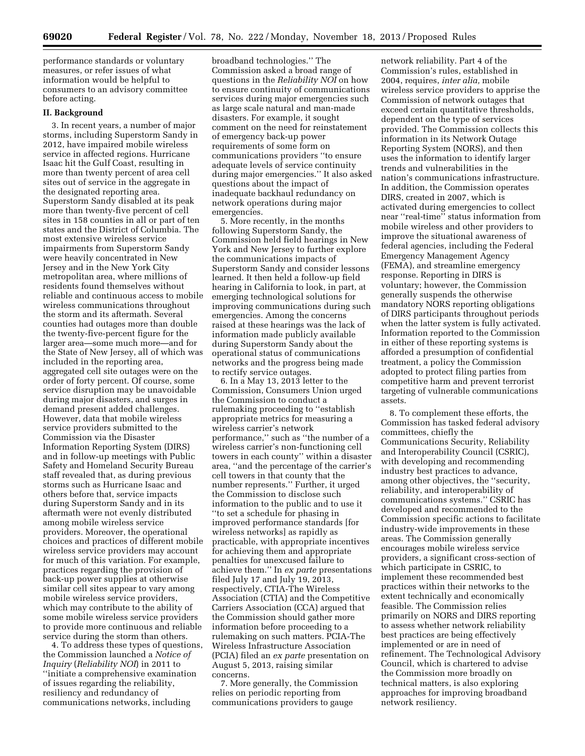performance standards or voluntary measures, or refer issues of what information would be helpful to consumers to an advisory committee before acting.

### **II. Background**

3. In recent years, a number of major storms, including Superstorm Sandy in 2012, have impaired mobile wireless service in affected regions. Hurricane Isaac hit the Gulf Coast, resulting in more than twenty percent of area cell sites out of service in the aggregate in the designated reporting area. Superstorm Sandy disabled at its peak more than twenty-five percent of cell sites in 158 counties in all or part of ten states and the District of Columbia. The most extensive wireless service impairments from Superstorm Sandy were heavily concentrated in New Jersey and in the New York City metropolitan area, where millions of residents found themselves without reliable and continuous access to mobile wireless communications throughout the storm and its aftermath. Several counties had outages more than double the twenty-five-percent figure for the larger area—some much more—and for the State of New Jersey, all of which was included in the reporting area, aggregated cell site outages were on the order of forty percent. Of course, some service disruption may be unavoidable during major disasters, and surges in demand present added challenges. However, data that mobile wireless service providers submitted to the Commission via the Disaster Information Reporting System (DIRS) and in follow-up meetings with Public Safety and Homeland Security Bureau staff revealed that, as during previous storms such as Hurricane Isaac and others before that, service impacts during Superstorm Sandy and in its aftermath were not evenly distributed among mobile wireless service providers. Moreover, the operational choices and practices of different mobile wireless service providers may account for much of this variation. For example, practices regarding the provision of back-up power supplies at otherwise similar cell sites appear to vary among mobile wireless service providers, which may contribute to the ability of some mobile wireless service providers to provide more continuous and reliable service during the storm than others.

4. To address these types of questions, the Commission launched a *Notice of Inquiry* (*Reliability NOI*) in 2011 to ''initiate a comprehensive examination of issues regarding the reliability, resiliency and redundancy of communications networks, including

broadband technologies.'' The Commission asked a broad range of questions in the *Reliability NOI* on how to ensure continuity of communications services during major emergencies such as large scale natural and man-made disasters. For example, it sought comment on the need for reinstatement of emergency back-up power requirements of some form on communications providers ''to ensure adequate levels of service continuity during major emergencies.'' It also asked questions about the impact of inadequate backhaul redundancy on network operations during major emergencies.

5. More recently, in the months following Superstorm Sandy, the Commission held field hearings in New York and New Jersey to further explore the communications impacts of Superstorm Sandy and consider lessons learned. It then held a follow-up field hearing in California to look, in part, at emerging technological solutions for improving communications during such emergencies. Among the concerns raised at these hearings was the lack of information made publicly available during Superstorm Sandy about the operational status of communications networks and the progress being made to rectify service outages.

6. In a May 13, 2013 letter to the Commission, Consumers Union urged the Commission to conduct a rulemaking proceeding to ''establish appropriate metrics for measuring a wireless carrier's network performance,'' such as ''the number of a wireless carrier's non-functioning cell towers in each county'' within a disaster area, ''and the percentage of the carrier's cell towers in that county that the number represents.'' Further, it urged the Commission to disclose such information to the public and to use it ''to set a schedule for phasing in improved performance standards [for wireless networks] as rapidly as practicable, with appropriate incentives for achieving them and appropriate penalties for unexcused failure to achieve them.'' In *ex parte* presentations filed July 17 and July 19, 2013, respectively, CTIA-The Wireless Association (CTIA) and the Competitive Carriers Association (CCA) argued that the Commission should gather more information before proceeding to a rulemaking on such matters. PCIA-The Wireless Infrastructure Association (PCIA) filed an *ex parte* presentation on August 5, 2013, raising similar concerns.

7. More generally, the Commission relies on periodic reporting from communications providers to gauge

network reliability. Part 4 of the Commission's rules, established in 2004, requires, *inter alia,* mobile wireless service providers to apprise the Commission of network outages that exceed certain quantitative thresholds, dependent on the type of services provided. The Commission collects this information in its Network Outage Reporting System (NORS), and then uses the information to identify larger trends and vulnerabilities in the nation's communications infrastructure. In addition, the Commission operates DIRS, created in 2007, which is activated during emergencies to collect near ''real-time'' status information from mobile wireless and other providers to improve the situational awareness of federal agencies, including the Federal Emergency Management Agency (FEMA), and streamline emergency response. Reporting in DIRS is voluntary; however, the Commission generally suspends the otherwise mandatory NORS reporting obligations of DIRS participants throughout periods when the latter system is fully activated. Information reported to the Commission in either of these reporting systems is afforded a presumption of confidential treatment, a policy the Commission adopted to protect filing parties from competitive harm and prevent terrorist targeting of vulnerable communications assets.

8. To complement these efforts, the Commission has tasked federal advisory committees, chiefly the Communications Security, Reliability and Interoperability Council (CSRIC), with developing and recommending industry best practices to advance, among other objectives, the ''security, reliability, and interoperability of communications systems.'' CSRIC has developed and recommended to the Commission specific actions to facilitate industry-wide improvements in these areas. The Commission generally encourages mobile wireless service providers, a significant cross-section of which participate in CSRIC, to implement these recommended best practices within their networks to the extent technically and economically feasible. The Commission relies primarily on NORS and DIRS reporting to assess whether network reliability best practices are being effectively implemented or are in need of refinement. The Technological Advisory Council, which is chartered to advise the Commission more broadly on technical matters, is also exploring approaches for improving broadband network resiliency.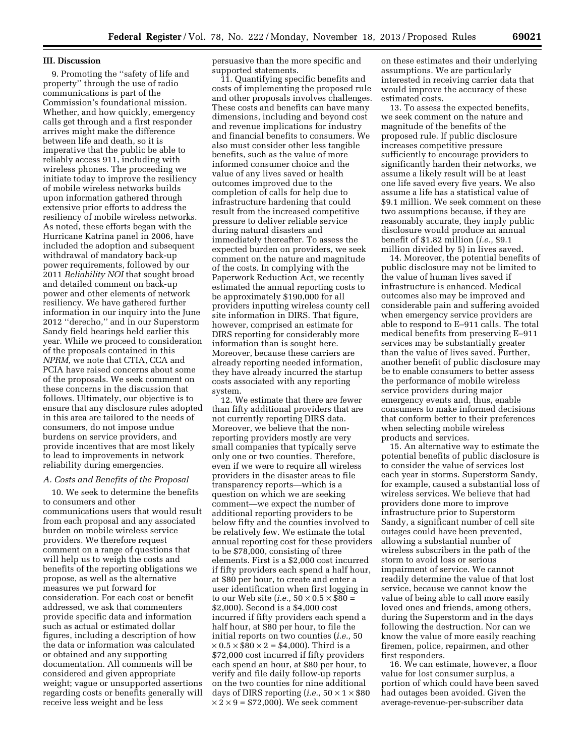### **III. Discussion**

9. Promoting the ''safety of life and property'' through the use of radio communications is part of the Commission's foundational mission. Whether, and how quickly, emergency calls get through and a first responder arrives might make the difference between life and death, so it is imperative that the public be able to reliably access 911, including with wireless phones. The proceeding we initiate today to improve the resiliency of mobile wireless networks builds upon information gathered through extensive prior efforts to address the resiliency of mobile wireless networks. As noted, these efforts began with the Hurricane Katrina panel in 2006, have included the adoption and subsequent withdrawal of mandatory back-up power requirements, followed by our 2011 *Reliability NOI* that sought broad and detailed comment on back-up power and other elements of network resiliency. We have gathered further information in our inquiry into the June 2012 ''derecho,'' and in our Superstorm Sandy field hearings held earlier this year. While we proceed to consideration of the proposals contained in this *NPRM,* we note that CTIA, CCA and PCIA have raised concerns about some of the proposals. We seek comment on these concerns in the discussion that follows. Ultimately, our objective is to ensure that any disclosure rules adopted in this area are tailored to the needs of consumers, do not impose undue burdens on service providers, and provide incentives that are most likely to lead to improvements in network reliability during emergencies.

#### *A. Costs and Benefits of the Proposal*

10. We seek to determine the benefits to consumers and other communications users that would result from each proposal and any associated burden on mobile wireless service providers. We therefore request comment on a range of questions that will help us to weigh the costs and benefits of the reporting obligations we propose, as well as the alternative measures we put forward for consideration. For each cost or benefit addressed, we ask that commenters provide specific data and information such as actual or estimated dollar figures, including a description of how the data or information was calculated or obtained and any supporting documentation. All comments will be considered and given appropriate weight; vague or unsupported assertions regarding costs or benefits generally will receive less weight and be less

persuasive than the more specific and supported statements.

11. Quantifying specific benefits and costs of implementing the proposed rule and other proposals involves challenges. These costs and benefits can have many dimensions, including and beyond cost and revenue implications for industry and financial benefits to consumers. We also must consider other less tangible benefits, such as the value of more informed consumer choice and the value of any lives saved or health outcomes improved due to the completion of calls for help due to infrastructure hardening that could result from the increased competitive pressure to deliver reliable service during natural disasters and immediately thereafter. To assess the expected burden on providers, we seek comment on the nature and magnitude of the costs. In complying with the Paperwork Reduction Act, we recently estimated the annual reporting costs to be approximately \$190,000 for all providers inputting wireless county cell site information in DIRS. That figure, however, comprised an estimate for DIRS reporting for considerably more information than is sought here. Moreover, because these carriers are already reporting needed information, they have already incurred the startup costs associated with any reporting system.

12. We estimate that there are fewer than fifty additional providers that are not currently reporting DIRS data. Moreover, we believe that the nonreporting providers mostly are very small companies that typically serve only one or two counties. Therefore, even if we were to require all wireless providers in the disaster areas to file transparency reports—which is a question on which we are seeking comment—we expect the number of additional reporting providers to be below fifty and the counties involved to be relatively few. We estimate the total annual reporting cost for these providers to be \$78,000, consisting of three elements. First is a \$2,000 cost incurred if fifty providers each spend a half hour, at \$80 per hour, to create and enter a user identification when first logging in to our Web site (*i.e.*,  $50 \times 0.5 \times $80 =$ \$2,000). Second is a \$4,000 cost incurred if fifty providers each spend a half hour, at \$80 per hour, to file the initial reports on two counties (*i.e.,* 50  $\times 0.5 \times $80 \times 2 = $4,000$ . Third is a \$72,000 cost incurred if fifty providers each spend an hour, at \$80 per hour, to verify and file daily follow-up reports on the two counties for nine additional days of DIRS reporting (*i.e.*,  $50 \times 1 \times $80$  $\times$  2  $\times$  9 = \$72,000). We seek comment

on these estimates and their underlying assumptions. We are particularly interested in receiving carrier data that would improve the accuracy of these estimated costs.

13. To assess the expected benefits, we seek comment on the nature and magnitude of the benefits of the proposed rule. If public disclosure increases competitive pressure sufficiently to encourage providers to significantly harden their networks, we assume a likely result will be at least one life saved every five years. We also assume a life has a statistical value of \$9.1 million. We seek comment on these two assumptions because, if they are reasonably accurate, they imply public disclosure would produce an annual benefit of \$1.82 million (*i.e.,* \$9.1 million divided by 5) in lives saved.

14. Moreover, the potential benefits of public disclosure may not be limited to the value of human lives saved if infrastructure is enhanced. Medical outcomes also may be improved and considerable pain and suffering avoided when emergency service providers are able to respond to E–911 calls. The total medical benefits from preserving E–911 services may be substantially greater than the value of lives saved. Further, another benefit of public disclosure may be to enable consumers to better assess the performance of mobile wireless service providers during major emergency events and, thus, enable consumers to make informed decisions that conform better to their preferences when selecting mobile wireless products and services.

15. An alternative way to estimate the potential benefits of public disclosure is to consider the value of services lost each year in storms. Superstorm Sandy, for example, caused a substantial loss of wireless services. We believe that had providers done more to improve infrastructure prior to Superstorm Sandy, a significant number of cell site outages could have been prevented, allowing a substantial number of wireless subscribers in the path of the storm to avoid loss or serious impairment of service. We cannot readily determine the value of that lost service, because we cannot know the value of being able to call more easily loved ones and friends, among others, during the Superstorm and in the days following the destruction. Nor can we know the value of more easily reaching firemen, police, repairmen, and other first responders.

16. We can estimate, however, a floor value for lost consumer surplus, a portion of which could have been saved had outages been avoided. Given the average-revenue-per-subscriber data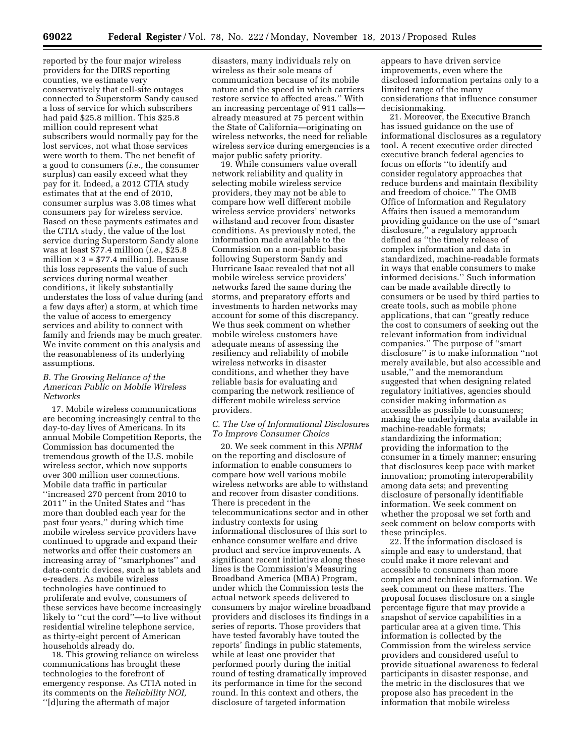reported by the four major wireless providers for the DIRS reporting counties, we estimate very conservatively that cell-site outages connected to Superstorm Sandy caused a loss of service for which subscribers had paid \$25.8 million. This \$25.8 million could represent what subscribers would normally pay for the lost services, not what those services were worth to them. The net benefit of a good to consumers (*i.e.,* the consumer surplus) can easily exceed what they pay for it. Indeed, a 2012 CTIA study estimates that at the end of 2010, consumer surplus was 3.08 times what consumers pay for wireless service. Based on these payments estimates and the CTIA study, the value of the lost service during Superstorm Sandy alone was at least \$77.4 million (*i.e.,* \$25.8 million  $\times$  3 = \$77.4 million). Because this loss represents the value of such services during normal weather conditions, it likely substantially understates the loss of value during (and a few days after) a storm, at which time the value of access to emergency services and ability to connect with family and friends may be much greater. We invite comment on this analysis and the reasonableness of its underlying assumptions.

### *B. The Growing Reliance of the American Public on Mobile Wireless Networks*

17. Mobile wireless communications are becoming increasingly central to the day-to-day lives of Americans. In its annual Mobile Competition Reports, the Commission has documented the tremendous growth of the U.S. mobile wireless sector, which now supports over 300 million user connections. Mobile data traffic in particular ''increased 270 percent from 2010 to 2011'' in the United States and ''has more than doubled each year for the past four years,'' during which time mobile wireless service providers have continued to upgrade and expand their networks and offer their customers an increasing array of ''smartphones'' and data-centric devices, such as tablets and e-readers. As mobile wireless technologies have continued to proliferate and evolve, consumers of these services have become increasingly likely to ''cut the cord''—to live without residential wireline telephone service, as thirty-eight percent of American households already do.

18. This growing reliance on wireless communications has brought these technologies to the forefront of emergency response. As CTIA noted in its comments on the *Reliability NOI,*  ''[d]uring the aftermath of major

disasters, many individuals rely on wireless as their sole means of communication because of its mobile nature and the speed in which carriers restore service to affected areas.'' With an increasing percentage of 911 calls already measured at 75 percent within the State of California—originating on wireless networks, the need for reliable wireless service during emergencies is a major public safety priority.

19. While consumers value overall network reliability and quality in selecting mobile wireless service providers, they may not be able to compare how well different mobile wireless service providers' networks withstand and recover from disaster conditions. As previously noted, the information made available to the Commission on a non-public basis following Superstorm Sandy and Hurricane Isaac revealed that not all mobile wireless service providers' networks fared the same during the storms, and preparatory efforts and investments to harden networks may account for some of this discrepancy. We thus seek comment on whether mobile wireless customers have adequate means of assessing the resiliency and reliability of mobile wireless networks in disaster conditions, and whether they have reliable basis for evaluating and comparing the network resilience of different mobile wireless service providers.

### *C. The Use of Informational Disclosures To Improve Consumer Choice*

20. We seek comment in this *NPRM*  on the reporting and disclosure of information to enable consumers to compare how well various mobile wireless networks are able to withstand and recover from disaster conditions. There is precedent in the telecommunications sector and in other industry contexts for using informational disclosures of this sort to enhance consumer welfare and drive product and service improvements. A significant recent initiative along these lines is the Commission's Measuring Broadband America (MBA) Program, under which the Commission tests the actual network speeds delivered to consumers by major wireline broadband providers and discloses its findings in a series of reports. Those providers that have tested favorably have touted the reports' findings in public statements, while at least one provider that performed poorly during the initial round of testing dramatically improved its performance in time for the second round. In this context and others, the disclosure of targeted information

appears to have driven service improvements, even where the disclosed information pertains only to a limited range of the many considerations that influence consumer decisionmaking.

21. Moreover, the Executive Branch has issued guidance on the use of informational disclosures as a regulatory tool. A recent executive order directed executive branch federal agencies to focus on efforts ''to identify and consider regulatory approaches that reduce burdens and maintain flexibility and freedom of choice.'' The OMB Office of Information and Regulatory Affairs then issued a memorandum providing guidance on the use of ''smart disclosure,'' a regulatory approach defined as ''the timely release of complex information and data in standardized, machine-readable formats in ways that enable consumers to make informed decisions.'' Such information can be made available directly to consumers or be used by third parties to create tools, such as mobile phone applications, that can ''greatly reduce the cost to consumers of seeking out the relevant information from individual companies.'' The purpose of ''smart disclosure'' is to make information ''not merely available, but also accessible and usable,'' and the memorandum suggested that when designing related regulatory initiatives, agencies should consider making information as accessible as possible to consumers; making the underlying data available in machine-readable formats; standardizing the information; providing the information to the consumer in a timely manner; ensuring that disclosures keep pace with market innovation; promoting interoperability among data sets; and preventing disclosure of personally identifiable information. We seek comment on whether the proposal we set forth and seek comment on below comports with these principles.

22. If the information disclosed is simple and easy to understand, that could make it more relevant and accessible to consumers than more complex and technical information. We seek comment on these matters. The proposal focuses disclosure on a single percentage figure that may provide a snapshot of service capabilities in a particular area at a given time. This information is collected by the Commission from the wireless service providers and considered useful to provide situational awareness to federal participants in disaster response, and the metric in the disclosures that we propose also has precedent in the information that mobile wireless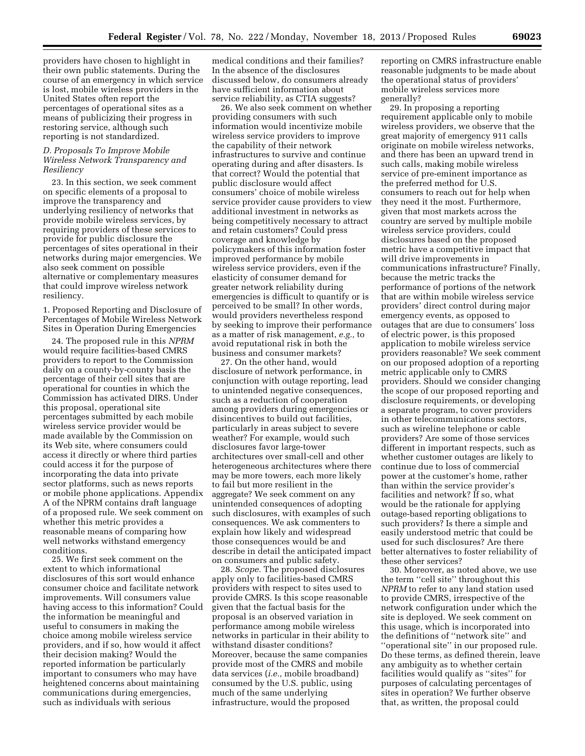providers have chosen to highlight in their own public statements. During the course of an emergency in which service is lost, mobile wireless providers in the United States often report the percentages of operational sites as a means of publicizing their progress in restoring service, although such reporting is not standardized.

### *D. Proposals To Improve Mobile Wireless Network Transparency and Resiliency*

23. In this section, we seek comment on specific elements of a proposal to improve the transparency and underlying resiliency of networks that provide mobile wireless services, by requiring providers of these services to provide for public disclosure the percentages of sites operational in their networks during major emergencies. We also seek comment on possible alternative or complementary measures that could improve wireless network resiliency.

1. Proposed Reporting and Disclosure of Percentages of Mobile Wireless Network Sites in Operation During Emergencies

24. The proposed rule in this *NPRM*  would require facilities-based CMRS providers to report to the Commission daily on a county-by-county basis the percentage of their cell sites that are operational for counties in which the Commission has activated DIRS. Under this proposal, operational site percentages submitted by each mobile wireless service provider would be made available by the Commission on its Web site, where consumers could access it directly or where third parties could access it for the purpose of incorporating the data into private sector platforms, such as news reports or mobile phone applications. Appendix A of the NPRM contains draft language of a proposed rule. We seek comment on whether this metric provides a reasonable means of comparing how well networks withstand emergency conditions.

25. We first seek comment on the extent to which informational disclosures of this sort would enhance consumer choice and facilitate network improvements. Will consumers value having access to this information? Could the information be meaningful and useful to consumers in making the choice among mobile wireless service providers, and if so, how would it affect their decision making? Would the reported information be particularly important to consumers who may have heightened concerns about maintaining communications during emergencies, such as individuals with serious

medical conditions and their families? In the absence of the disclosures discussed below, do consumers already have sufficient information about service reliability, as CTIA suggests?

26. We also seek comment on whether providing consumers with such information would incentivize mobile wireless service providers to improve the capability of their network infrastructures to survive and continue operating during and after disasters. Is that correct? Would the potential that public disclosure would affect consumers' choice of mobile wireless service provider cause providers to view additional investment in networks as being competitively necessary to attract and retain customers? Could press coverage and knowledge by policymakers of this information foster improved performance by mobile wireless service providers, even if the elasticity of consumer demand for greater network reliability during emergencies is difficult to quantify or is perceived to be small? In other words, would providers nevertheless respond by seeking to improve their performance as a matter of risk management, *e.g.,* to avoid reputational risk in both the business and consumer markets?

27. On the other hand, would disclosure of network performance, in conjunction with outage reporting, lead to unintended negative consequences, such as a reduction of cooperation among providers during emergencies or disincentives to build out facilities, particularly in areas subject to severe weather? For example, would such disclosures favor large-tower architectures over small-cell and other heterogeneous architectures where there may be more towers, each more likely to fail but more resilient in the aggregate? We seek comment on any unintended consequences of adopting such disclosures, with examples of such consequences. We ask commenters to explain how likely and widespread those consequences would be and describe in detail the anticipated impact on consumers and public safety.

28. *Scope.* The proposed disclosures apply only to facilities-based CMRS providers with respect to sites used to provide CMRS. Is this scope reasonable given that the factual basis for the proposal is an observed variation in performance among mobile wireless networks in particular in their ability to withstand disaster conditions? Moreover, because the same companies provide most of the CMRS and mobile data services (*i.e.,* mobile broadband) consumed by the U.S. public, using much of the same underlying infrastructure, would the proposed

reporting on CMRS infrastructure enable reasonable judgments to be made about the operational status of providers' mobile wireless services more generally?

29. In proposing a reporting requirement applicable only to mobile wireless providers, we observe that the great majority of emergency 911 calls originate on mobile wireless networks, and there has been an upward trend in such calls, making mobile wireless service of pre-eminent importance as the preferred method for U.S. consumers to reach out for help when they need it the most. Furthermore, given that most markets across the country are served by multiple mobile wireless service providers, could disclosures based on the proposed metric have a competitive impact that will drive improvements in communications infrastructure? Finally, because the metric tracks the performance of portions of the network that are within mobile wireless service providers' direct control during major emergency events, as opposed to outages that are due to consumers' loss of electric power, is this proposed application to mobile wireless service providers reasonable? We seek comment on our proposed adoption of a reporting metric applicable only to CMRS providers. Should we consider changing the scope of our proposed reporting and disclosure requirements, or developing a separate program, to cover providers in other telecommunications sectors, such as wireline telephone or cable providers? Are some of those services different in important respects, such as whether customer outages are likely to continue due to loss of commercial power at the customer's home, rather than within the service provider's facilities and network? If so, what would be the rationale for applying outage-based reporting obligations to such providers? Is there a simple and easily understood metric that could be used for such disclosures? Are there better alternatives to foster reliability of these other services?

30. Moreover, as noted above, we use the term ''cell site'' throughout this *NPRM* to refer to any land station used to provide CMRS, irrespective of the network configuration under which the site is deployed. We seek comment on this usage, which is incorporated into the definitions of ''network site'' and ''operational site'' in our proposed rule. Do these terms, as defined therein, leave any ambiguity as to whether certain facilities would qualify as ''sites'' for purposes of calculating percentages of sites in operation? We further observe that, as written, the proposal could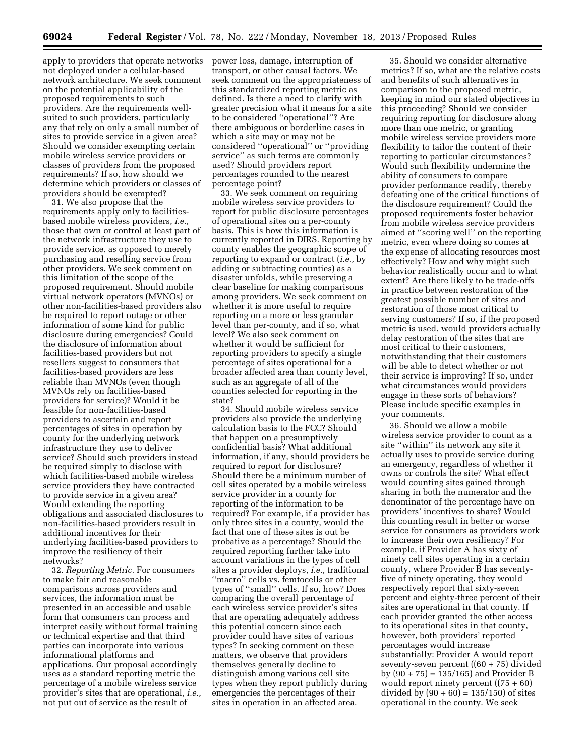apply to providers that operate networks not deployed under a cellular-based network architecture. We seek comment on the potential applicability of the proposed requirements to such providers. Are the requirements wellsuited to such providers, particularly any that rely on only a small number of sites to provide service in a given area? Should we consider exempting certain mobile wireless service providers or classes of providers from the proposed requirements? If so, how should we determine which providers or classes of providers should be exempted?

31. We also propose that the requirements apply only to facilitiesbased mobile wireless providers, *i.e.,*  those that own or control at least part of the network infrastructure they use to provide service, as opposed to merely purchasing and reselling service from other providers. We seek comment on this limitation of the scope of the proposed requirement. Should mobile virtual network operators (MVNOs) or other non-facilities-based providers also be required to report outage or other information of some kind for public disclosure during emergencies? Could the disclosure of information about facilities-based providers but not resellers suggest to consumers that facilities-based providers are less reliable than MVNOs (even though MVNOs rely on facilities-based providers for service)? Would it be feasible for non-facilities-based providers to ascertain and report percentages of sites in operation by county for the underlying network infrastructure they use to deliver service? Should such providers instead be required simply to disclose with which facilities-based mobile wireless service providers they have contracted to provide service in a given area? Would extending the reporting obligations and associated disclosures to non-facilities-based providers result in additional incentives for their underlying facilities-based providers to improve the resiliency of their networks?

32. *Reporting Metric.* For consumers to make fair and reasonable comparisons across providers and services, the information must be presented in an accessible and usable form that consumers can process and interpret easily without formal training or technical expertise and that third parties can incorporate into various informational platforms and applications. Our proposal accordingly uses as a standard reporting metric the percentage of a mobile wireless service provider's sites that are operational, *i.e.,*  not put out of service as the result of

power loss, damage, interruption of transport, or other causal factors. We seek comment on the appropriateness of this standardized reporting metric as defined. Is there a need to clarify with greater precision what it means for a site to be considered ''operational''? Are there ambiguous or borderline cases in which a site may or may not be considered ''operational'' or ''providing service'' as such terms are commonly used? Should providers report percentages rounded to the nearest percentage point?

33. We seek comment on requiring mobile wireless service providers to report for public disclosure percentages of operational sites on a per-county basis. This is how this information is currently reported in DIRS. Reporting by county enables the geographic scope of reporting to expand or contract (*i.e.,* by adding or subtracting counties) as a disaster unfolds, while preserving a clear baseline for making comparisons among providers. We seek comment on whether it is more useful to require reporting on a more or less granular level than per-county, and if so, what level? We also seek comment on whether it would be sufficient for reporting providers to specify a single percentage of sites operational for a broader affected area than county level, such as an aggregate of all of the counties selected for reporting in the state?

34. Should mobile wireless service providers also provide the underlying calculation basis to the FCC? Should that happen on a presumptively confidential basis? What additional information, if any, should providers be required to report for disclosure? Should there be a minimum number of cell sites operated by a mobile wireless service provider in a county for reporting of the information to be required? For example, if a provider has only three sites in a county, would the fact that one of these sites is out be probative as a percentage? Should the required reporting further take into account variations in the types of cell sites a provider deploys, *i.e.,* traditional ''macro'' cells vs. femtocells or other types of ''small'' cells. If so, how? Does comparing the overall percentage of each wireless service provider's sites that are operating adequately address this potential concern since each provider could have sites of various types? In seeking comment on these matters, we observe that providers themselves generally decline to distinguish among various cell site types when they report publicly during emergencies the percentages of their sites in operation in an affected area.

35. Should we consider alternative metrics? If so, what are the relative costs and benefits of such alternatives in comparison to the proposed metric, keeping in mind our stated objectives in this proceeding? Should we consider requiring reporting for disclosure along more than one metric, or granting mobile wireless service providers more flexibility to tailor the content of their reporting to particular circumstances? Would such flexibility undermine the ability of consumers to compare provider performance readily, thereby defeating one of the critical functions of the disclosure requirement? Could the proposed requirements foster behavior from mobile wireless service providers aimed at ''scoring well'' on the reporting metric, even where doing so comes at the expense of allocating resources most effectively? How and why might such behavior realistically occur and to what extent? Are there likely to be trade-offs in practice between restoration of the greatest possible number of sites and restoration of those most critical to serving customers? If so, if the proposed metric is used, would providers actually delay restoration of the sites that are most critical to their customers, notwithstanding that their customers will be able to detect whether or not their service is improving? If so, under what circumstances would providers engage in these sorts of behaviors? Please include specific examples in your comments.

36. Should we allow a mobile wireless service provider to count as a site ''within'' its network any site it actually uses to provide service during an emergency, regardless of whether it owns or controls the site? What effect would counting sites gained through sharing in both the numerator and the denominator of the percentage have on providers' incentives to share? Would this counting result in better or worse service for consumers as providers work to increase their own resiliency? For example, if Provider A has sixty of ninety cell sites operating in a certain county, where Provider B has seventyfive of ninety operating, they would respectively report that sixty-seven percent and eighty-three percent of their sites are operational in that county. If each provider granted the other access to its operational sites in that county, however, both providers' reported percentages would increase substantially: Provider A would report seventy-seven percent ((60 + 75) divided by (90 + 75) = 135/165) and Provider B would report ninety percent  $((75 + 60))$ divided by  $(90 + 60) = 135/150$  of sites operational in the county. We seek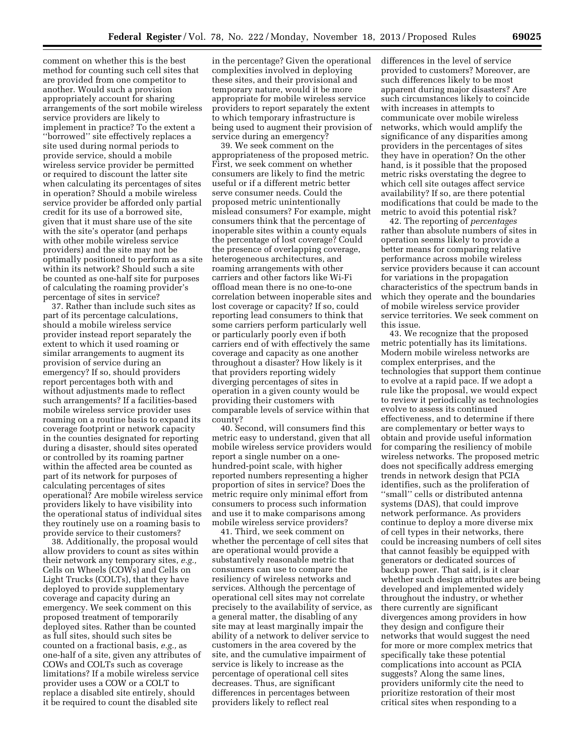comment on whether this is the best method for counting such cell sites that are provided from one competitor to another. Would such a provision appropriately account for sharing arrangements of the sort mobile wireless service providers are likely to implement in practice? To the extent a ''borrowed'' site effectively replaces a site used during normal periods to provide service, should a mobile wireless service provider be permitted or required to discount the latter site when calculating its percentages of sites in operation? Should a mobile wireless service provider be afforded only partial credit for its use of a borrowed site, given that it must share use of the site with the site's operator (and perhaps with other mobile wireless service providers) and the site may not be optimally positioned to perform as a site within its network? Should such a site be counted as one-half site for purposes of calculating the roaming provider's percentage of sites in service?

37. Rather than include such sites as part of its percentage calculations, should a mobile wireless service provider instead report separately the extent to which it used roaming or similar arrangements to augment its provision of service during an emergency? If so, should providers report percentages both with and without adjustments made to reflect such arrangements? If a facilities-based mobile wireless service provider uses roaming on a routine basis to expand its coverage footprint or network capacity in the counties designated for reporting during a disaster, should sites operated or controlled by its roaming partner within the affected area be counted as part of its network for purposes of calculating percentages of sites operational? Are mobile wireless service providers likely to have visibility into the operational status of individual sites they routinely use on a roaming basis to provide service to their customers?

38. Additionally, the proposal would allow providers to count as sites within their network any temporary sites, *e.g.,*  Cells on Wheels (COWs) and Cells on Light Trucks (COLTs), that they have deployed to provide supplementary coverage and capacity during an emergency. We seek comment on this proposed treatment of temporarily deployed sites. Rather than be counted as full sites, should such sites be counted on a fractional basis, *e.g.,* as one-half of a site, given any attributes of COWs and COLTs such as coverage limitations? If a mobile wireless service provider uses a COW or a COLT to replace a disabled site entirely, should it be required to count the disabled site

in the percentage? Given the operational complexities involved in deploying these sites, and their provisional and temporary nature, would it be more appropriate for mobile wireless service providers to report separately the extent to which temporary infrastructure is being used to augment their provision of service during an emergency?

39. We seek comment on the appropriateness of the proposed metric. First, we seek comment on whether consumers are likely to find the metric useful or if a different metric better serve consumer needs. Could the proposed metric unintentionally mislead consumers? For example, might consumers think that the percentage of inoperable sites within a county equals the percentage of lost coverage? Could the presence of overlapping coverage, heterogeneous architectures, and roaming arrangements with other carriers and other factors like Wi-Fi offload mean there is no one-to-one correlation between inoperable sites and lost coverage or capacity? If so, could reporting lead consumers to think that some carriers perform particularly well or particularly poorly even if both carriers end of with effectively the same coverage and capacity as one another throughout a disaster? How likely is it that providers reporting widely diverging percentages of sites in operation in a given county would be providing their customers with comparable levels of service within that county?

40. Second, will consumers find this metric easy to understand, given that all mobile wireless service providers would report a single number on a onehundred-point scale, with higher reported numbers representing a higher proportion of sites in service? Does the metric require only minimal effort from consumers to process such information and use it to make comparisons among mobile wireless service providers?

41. Third, we seek comment on whether the percentage of cell sites that are operational would provide a substantively reasonable metric that consumers can use to compare the resiliency of wireless networks and services. Although the percentage of operational cell sites may not correlate precisely to the availability of service, as a general matter, the disabling of any site may at least marginally impair the ability of a network to deliver service to customers in the area covered by the site, and the cumulative impairment of service is likely to increase as the percentage of operational cell sites decreases. Thus, are significant differences in percentages between providers likely to reflect real

differences in the level of service provided to customers? Moreover, are such differences likely to be most apparent during major disasters? Are such circumstances likely to coincide with increases in attempts to communicate over mobile wireless networks, which would amplify the significance of any disparities among providers in the percentages of sites they have in operation? On the other hand, is it possible that the proposed metric risks overstating the degree to which cell site outages affect service availability? If so, are there potential modifications that could be made to the metric to avoid this potential risk?

42. The reporting of *percentages*  rather than absolute numbers of sites in operation seems likely to provide a better means for comparing relative performance across mobile wireless service providers because it can account for variations in the propagation characteristics of the spectrum bands in which they operate and the boundaries of mobile wireless service provider service territories. We seek comment on this issue.

43. We recognize that the proposed metric potentially has its limitations. Modern mobile wireless networks are complex enterprises, and the technologies that support them continue to evolve at a rapid pace. If we adopt a rule like the proposal, we would expect to review it periodically as technologies evolve to assess its continued effectiveness, and to determine if there are complementary or better ways to obtain and provide useful information for comparing the resiliency of mobile wireless networks. The proposed metric does not specifically address emerging trends in network design that PCIA identifies, such as the proliferation of ''small'' cells or distributed antenna systems (DAS), that could improve network performance. As providers continue to deploy a more diverse mix of cell types in their networks, there could be increasing numbers of cell sites that cannot feasibly be equipped with generators or dedicated sources of backup power. That said, is it clear whether such design attributes are being developed and implemented widely throughout the industry, or whether there currently are significant divergences among providers in how they design and configure their networks that would suggest the need for more or more complex metrics that specifically take these potential complications into account as PCIA suggests? Along the same lines, providers uniformly cite the need to prioritize restoration of their most critical sites when responding to a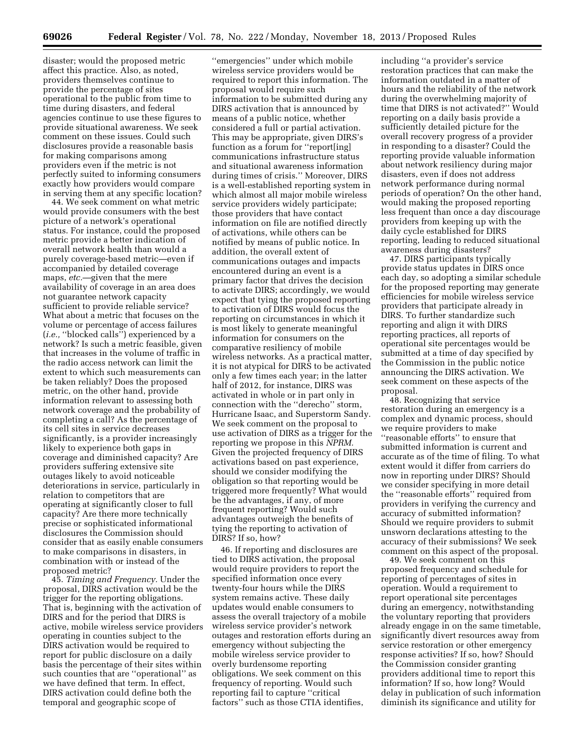disaster; would the proposed metric affect this practice. Also, as noted, providers themselves continue to provide the percentage of sites operational to the public from time to time during disasters, and federal agencies continue to use these figures to provide situational awareness. We seek comment on these issues. Could such disclosures provide a reasonable basis for making comparisons among providers even if the metric is not perfectly suited to informing consumers exactly how providers would compare in serving them at any specific location?

44. We seek comment on what metric would provide consumers with the best picture of a network's operational status. For instance, could the proposed metric provide a better indication of overall network health than would a purely coverage-based metric—even if accompanied by detailed coverage maps, *etc.*—given that the mere availability of coverage in an area does not guarantee network capacity sufficient to provide reliable service? What about a metric that focuses on the volume or percentage of access failures (*i.e.,* ''blocked calls'') experienced by a network? Is such a metric feasible, given that increases in the volume of traffic in the radio access network can limit the extent to which such measurements can be taken reliably? Does the proposed metric, on the other hand, provide information relevant to assessing both network coverage and the probability of completing a call? As the percentage of its cell sites in service decreases significantly, is a provider increasingly likely to experience both gaps in coverage and diminished capacity? Are providers suffering extensive site outages likely to avoid noticeable deteriorations in service, particularly in relation to competitors that are operating at significantly closer to full capacity? Are there more technically precise or sophisticated informational disclosures the Commission should consider that as easily enable consumers to make comparisons in disasters, in combination with or instead of the proposed metric?

45. *Timing and Frequency.* Under the proposal, DIRS activation would be the trigger for the reporting obligations. That is, beginning with the activation of DIRS and for the period that DIRS is active, mobile wireless service providers operating in counties subject to the DIRS activation would be required to report for public disclosure on a daily basis the percentage of their sites within such counties that are ''operational'' as we have defined that term. In effect, DIRS activation could define both the temporal and geographic scope of

''emergencies'' under which mobile wireless service providers would be required to report this information. The proposal would require such information to be submitted during any DIRS activation that is announced by means of a public notice, whether considered a full or partial activation. This may be appropriate, given DIRS's function as a forum for ''report[ing] communications infrastructure status and situational awareness information during times of crisis.'' Moreover, DIRS is a well-established reporting system in which almost all major mobile wireless service providers widely participate; those providers that have contact information on file are notified directly of activations, while others can be notified by means of public notice. In addition, the overall extent of communications outages and impacts encountered during an event is a primary factor that drives the decision to activate DIRS; accordingly, we would expect that tying the proposed reporting to activation of DIRS would focus the reporting on circumstances in which it is most likely to generate meaningful information for consumers on the comparative resiliency of mobile wireless networks. As a practical matter, it is not atypical for DIRS to be activated only a few times each year; in the latter half of 2012, for instance, DIRS was activated in whole or in part only in connection with the ''derecho'' storm, Hurricane Isaac, and Superstorm Sandy. We seek comment on the proposal to use activation of DIRS as a trigger for the reporting we propose in this *NPRM.*  Given the projected frequency of DIRS activations based on past experience, should we consider modifying the obligation so that reporting would be triggered more frequently? What would be the advantages, if any, of more frequent reporting? Would such advantages outweigh the benefits of tying the reporting to activation of DIRS? If so, how?

46. If reporting and disclosures are tied to DIRS activation, the proposal would require providers to report the specified information once every twenty-four hours while the DIRS system remains active. These daily updates would enable consumers to assess the overall trajectory of a mobile wireless service provider's network outages and restoration efforts during an emergency without subjecting the mobile wireless service provider to overly burdensome reporting obligations. We seek comment on this frequency of reporting. Would such reporting fail to capture ''critical factors'' such as those CTIA identifies,

including ''a provider's service restoration practices that can make the information outdated in a matter of hours and the reliability of the network during the overwhelming majority of time that DIRS is not activated?'' Would reporting on a daily basis provide a sufficiently detailed picture for the overall recovery progress of a provider in responding to a disaster? Could the reporting provide valuable information about network resiliency during major disasters, even if does not address network performance during normal periods of operation? On the other hand, would making the proposed reporting less frequent than once a day discourage providers from keeping up with the daily cycle established for DIRS reporting, leading to reduced situational awareness during disasters?

47. DIRS participants typically provide status updates in DIRS once each day, so adopting a similar schedule for the proposed reporting may generate efficiencies for mobile wireless service providers that participate already in DIRS. To further standardize such reporting and align it with DIRS reporting practices, all reports of operational site percentages would be submitted at a time of day specified by the Commission in the public notice announcing the DIRS activation. We seek comment on these aspects of the proposal.

48. Recognizing that service restoration during an emergency is a complex and dynamic process, should we require providers to make ''reasonable efforts'' to ensure that submitted information is current and accurate as of the time of filing. To what extent would it differ from carriers do now in reporting under DIRS? Should we consider specifying in more detail the ''reasonable efforts'' required from providers in verifying the currency and accuracy of submitted information? Should we require providers to submit unsworn declarations attesting to the accuracy of their submissions? We seek comment on this aspect of the proposal.

49. We seek comment on this proposed frequency and schedule for reporting of percentages of sites in operation. Would a requirement to report operational site percentages during an emergency, notwithstanding the voluntary reporting that providers already engage in on the same timetable, significantly divert resources away from service restoration or other emergency response activities? If so, how? Should the Commission consider granting providers additional time to report this information? If so, how long? Would delay in publication of such information diminish its significance and utility for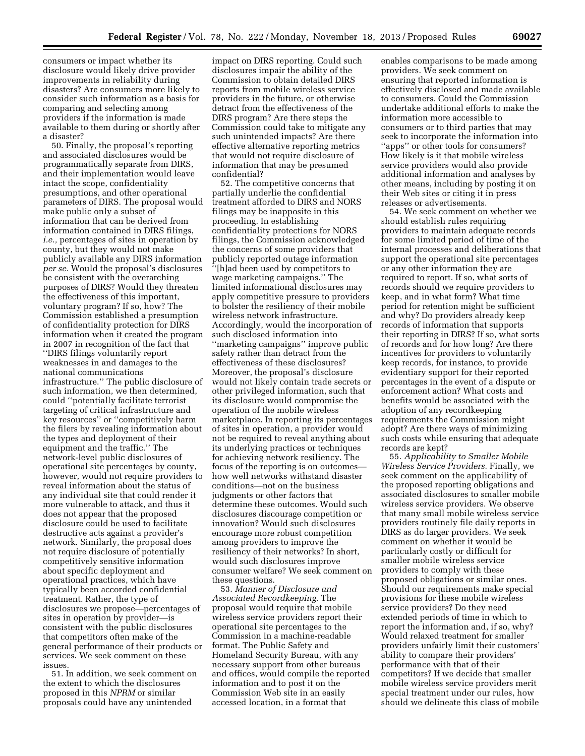consumers or impact whether its disclosure would likely drive provider improvements in reliability during disasters? Are consumers more likely to consider such information as a basis for comparing and selecting among providers if the information is made available to them during or shortly after a disaster?

50. Finally, the proposal's reporting and associated disclosures would be programmatically separate from DIRS, and their implementation would leave intact the scope, confidentiality presumptions, and other operational parameters of DIRS. The proposal would make public only a subset of information that can be derived from information contained in DIRS filings, *i.e.,* percentages of sites in operation by county, but they would not make publicly available any DIRS information *per se.* Would the proposal's disclosures be consistent with the overarching purposes of DIRS? Would they threaten the effectiveness of this important, voluntary program? If so, how? The Commission established a presumption of confidentiality protection for DIRS information when it created the program in 2007 in recognition of the fact that ''DIRS filings voluntarily report weaknesses in and damages to the national communications infrastructure.'' The public disclosure of such information, we then determined, could ''potentially facilitate terrorist targeting of critical infrastructure and key resources'' or ''competitively harm the filers by revealing information about the types and deployment of their equipment and the traffic.'' The network-level public disclosures of operational site percentages by county, however, would not require providers to reveal information about the status of any individual site that could render it more vulnerable to attack, and thus it does not appear that the proposed disclosure could be used to facilitate destructive acts against a provider's network. Similarly, the proposal does not require disclosure of potentially competitively sensitive information about specific deployment and operational practices, which have typically been accorded confidential treatment. Rather, the type of disclosures we propose—percentages of sites in operation by provider—is consistent with the public disclosures that competitors often make of the general performance of their products or services. We seek comment on these issues.

51. In addition, we seek comment on the extent to which the disclosures proposed in this *NPRM* or similar proposals could have any unintended

impact on DIRS reporting. Could such disclosures impair the ability of the Commission to obtain detailed DIRS reports from mobile wireless service providers in the future, or otherwise detract from the effectiveness of the DIRS program? Are there steps the Commission could take to mitigate any such unintended impacts? Are there effective alternative reporting metrics that would not require disclosure of information that may be presumed confidential?

52. The competitive concerns that partially underlie the confidential treatment afforded to DIRS and NORS filings may be inapposite in this proceeding. In establishing confidentiality protections for NORS filings, the Commission acknowledged the concerns of some providers that publicly reported outage information ''[h]ad been used by competitors to wage marketing campaigns.'' The limited informational disclosures may apply competitive pressure to providers to bolster the resiliency of their mobile wireless network infrastructure. Accordingly, would the incorporation of such disclosed information into ''marketing campaigns'' improve public safety rather than detract from the effectiveness of these disclosures? Moreover, the proposal's disclosure would not likely contain trade secrets or other privileged information, such that its disclosure would compromise the operation of the mobile wireless marketplace. In reporting its percentages of sites in operation, a provider would not be required to reveal anything about its underlying practices or techniques for achieving network resiliency. The focus of the reporting is on outcomes how well networks withstand disaster conditions—not on the business judgments or other factors that determine these outcomes. Would such disclosures discourage competition or innovation? Would such disclosures encourage more robust competition among providers to improve the resiliency of their networks? In short, would such disclosures improve consumer welfare? We seek comment on these questions.

53. *Manner of Disclosure and Associated Recordkeeping.* The proposal would require that mobile wireless service providers report their operational site percentages to the Commission in a machine-readable format. The Public Safety and Homeland Security Bureau, with any necessary support from other bureaus and offices, would compile the reported information and to post it on the Commission Web site in an easily accessed location, in a format that

enables comparisons to be made among providers. We seek comment on ensuring that reported information is effectively disclosed and made available to consumers. Could the Commission undertake additional efforts to make the information more accessible to consumers or to third parties that may seek to incorporate the information into ''apps'' or other tools for consumers? How likely is it that mobile wireless service providers would also provide additional information and analyses by other means, including by posting it on their Web sites or citing it in press releases or advertisements.

54. We seek comment on whether we should establish rules requiring providers to maintain adequate records for some limited period of time of the internal processes and deliberations that support the operational site percentages or any other information they are required to report. If so, what sorts of records should we require providers to keep, and in what form? What time period for retention might be sufficient and why? Do providers already keep records of information that supports their reporting in DIRS? If so, what sorts of records and for how long? Are there incentives for providers to voluntarily keep records, for instance, to provide evidentiary support for their reported percentages in the event of a dispute or enforcement action? What costs and benefits would be associated with the adoption of any recordkeeping requirements the Commission might adopt? Are there ways of minimizing such costs while ensuring that adequate records are kept?

55. *Applicability to Smaller Mobile Wireless Service Providers.* Finally, we seek comment on the applicability of the proposed reporting obligations and associated disclosures to smaller mobile wireless service providers. We observe that many small mobile wireless service providers routinely file daily reports in DIRS as do larger providers. We seek comment on whether it would be particularly costly or difficult for smaller mobile wireless service providers to comply with these proposed obligations or similar ones. Should our requirements make special provisions for these mobile wireless service providers? Do they need extended periods of time in which to report the information and, if so, why? Would relaxed treatment for smaller providers unfairly limit their customers' ability to compare their providers' performance with that of their competitors? If we decide that smaller mobile wireless service providers merit special treatment under our rules, how should we delineate this class of mobile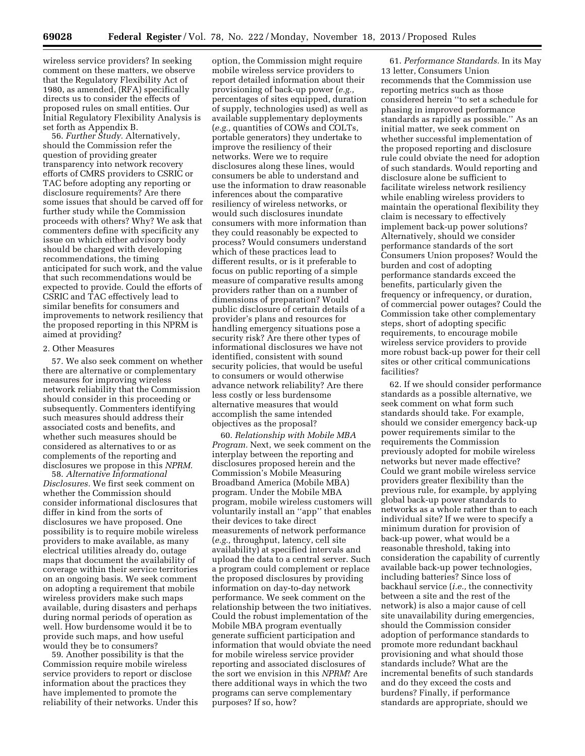wireless service providers? In seeking comment on these matters, we observe that the Regulatory Flexibility Act of 1980, as amended, (RFA) specifically directs us to consider the effects of proposed rules on small entities. Our Initial Regulatory Flexibility Analysis is set forth as Appendix B.

56. *Further Study.* Alternatively, should the Commission refer the question of providing greater transparency into network recovery efforts of CMRS providers to CSRIC or TAC before adopting any reporting or disclosure requirements? Are there some issues that should be carved off for further study while the Commission proceeds with others? Why? We ask that commenters define with specificity any issue on which either advisory body should be charged with developing recommendations, the timing anticipated for such work, and the value that such recommendations would be expected to provide. Could the efforts of CSRIC and TAC effectively lead to similar benefits for consumers and improvements to network resiliency that the proposed reporting in this NPRM is aimed at providing?

# 2. Other Measures

57. We also seek comment on whether there are alternative or complementary measures for improving wireless network reliability that the Commission should consider in this proceeding or subsequently. Commenters identifying such measures should address their associated costs and benefits, and whether such measures should be considered as alternatives to or as complements of the reporting and disclosures we propose in this *NPRM.* 

58. *Alternative Informational Disclosures.* We first seek comment on whether the Commission should consider informational disclosures that differ in kind from the sorts of disclosures we have proposed. One possibility is to require mobile wireless providers to make available, as many electrical utilities already do, outage maps that document the availability of coverage within their service territories on an ongoing basis. We seek comment on adopting a requirement that mobile wireless providers make such maps available, during disasters and perhaps during normal periods of operation as well. How burdensome would it be to provide such maps, and how useful would they be to consumers?

59. Another possibility is that the Commission require mobile wireless service providers to report or disclose information about the practices they have implemented to promote the reliability of their networks. Under this

option, the Commission might require mobile wireless service providers to report detailed information about their provisioning of back-up power (*e.g.,*  percentages of sites equipped, duration of supply, technologies used) as well as available supplementary deployments (*e.g.,* quantities of COWs and COLTs, portable generators) they undertake to improve the resiliency of their networks. Were we to require disclosures along these lines, would consumers be able to understand and use the information to draw reasonable inferences about the comparative resiliency of wireless networks, or would such disclosures inundate consumers with more information than they could reasonably be expected to process? Would consumers understand which of these practices lead to different results, or is it preferable to focus on public reporting of a simple measure of comparative results among providers rather than on a number of dimensions of preparation? Would public disclosure of certain details of a provider's plans and resources for handling emergency situations pose a security risk? Are there other types of informational disclosures we have not identified, consistent with sound security policies, that would be useful to consumers or would otherwise advance network reliability? Are there less costly or less burdensome alternative measures that would accomplish the same intended objectives as the proposal?

60. *Relationship with Mobile MBA Program.* Next, we seek comment on the interplay between the reporting and disclosures proposed herein and the Commission's Mobile Measuring Broadband America (Mobile MBA) program. Under the Mobile MBA program, mobile wireless customers will voluntarily install an ''app'' that enables their devices to take direct measurements of network performance (*e.g.,* throughput, latency, cell site availability) at specified intervals and upload the data to a central server. Such a program could complement or replace the proposed disclosures by providing information on day-to-day network performance. We seek comment on the relationship between the two initiatives. Could the robust implementation of the Mobile MBA program eventually generate sufficient participation and information that would obviate the need for mobile wireless service provider reporting and associated disclosures of the sort we envision in this *NPRM*? Are there additional ways in which the two programs can serve complementary purposes? If so, how?

61. *Performance Standards.* In its May 13 letter, Consumers Union recommends that the Commission use reporting metrics such as those considered herein ''to set a schedule for phasing in improved performance standards as rapidly as possible.'' As an initial matter, we seek comment on whether successful implementation of the proposed reporting and disclosure rule could obviate the need for adoption of such standards. Would reporting and disclosure alone be sufficient to facilitate wireless network resiliency while enabling wireless providers to maintain the operational flexibility they claim is necessary to effectively implement back-up power solutions? Alternatively, should we consider performance standards of the sort Consumers Union proposes? Would the burden and cost of adopting performance standards exceed the benefits, particularly given the frequency or infrequency, or duration, of commercial power outages? Could the Commission take other complementary steps, short of adopting specific requirements, to encourage mobile wireless service providers to provide more robust back-up power for their cell sites or other critical communications facilities?

62. If we should consider performance standards as a possible alternative, we seek comment on what form such standards should take. For example, should we consider emergency back-up power requirements similar to the requirements the Commission previously adopted for mobile wireless networks but never made effective? Could we grant mobile wireless service providers greater flexibility than the previous rule, for example, by applying global back-up power standards to networks as a whole rather than to each individual site? If we were to specify a minimum duration for provision of back-up power, what would be a reasonable threshold, taking into consideration the capability of currently available back-up power technologies, including batteries? Since loss of backhaul service (*i.e.,* the connectivity between a site and the rest of the network) is also a major cause of cell site unavailability during emergencies, should the Commission consider adoption of performance standards to promote more redundant backhaul provisioning and what should those standards include? What are the incremental benefits of such standards and do they exceed the costs and burdens? Finally, if performance standards are appropriate, should we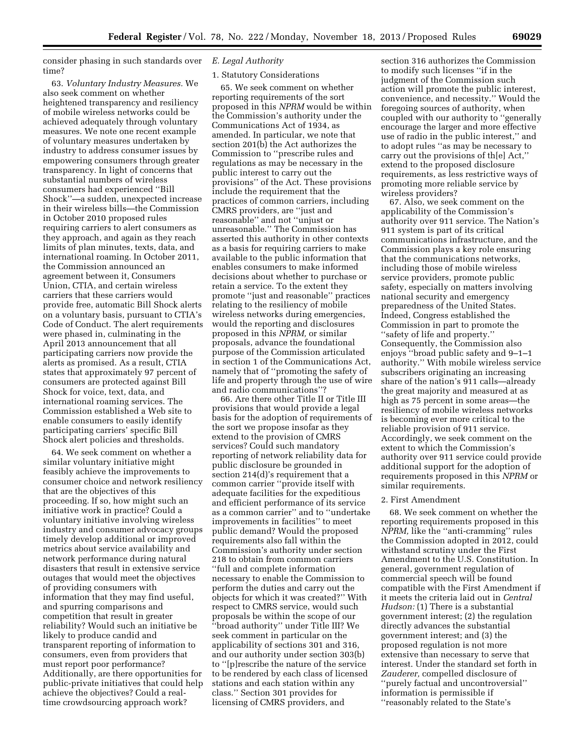consider phasing in such standards over time?

63. *Voluntary Industry Measures.* We also seek comment on whether heightened transparency and resiliency of mobile wireless networks could be achieved adequately through voluntary measures. We note one recent example of voluntary measures undertaken by industry to address consumer issues by empowering consumers through greater transparency. In light of concerns that substantial numbers of wireless consumers had experienced ''Bill Shock''—a sudden, unexpected increase in their wireless bills—the Commission in October 2010 proposed rules requiring carriers to alert consumers as they approach, and again as they reach limits of plan minutes, texts, data, and international roaming. In October 2011, the Commission announced an agreement between it, Consumers Union, CTIA, and certain wireless carriers that these carriers would provide free, automatic Bill Shock alerts on a voluntary basis, pursuant to CTIA's Code of Conduct. The alert requirements were phased in, culminating in the April 2013 announcement that all participating carriers now provide the alerts as promised. As a result, CTIA states that approximately 97 percent of consumers are protected against Bill Shock for voice, text, data, and international roaming services. The Commission established a Web site to enable consumers to easily identify participating carriers' specific Bill Shock alert policies and thresholds.

64. We seek comment on whether a similar voluntary initiative might feasibly achieve the improvements to consumer choice and network resiliency that are the objectives of this proceeding. If so, how might such an initiative work in practice? Could a voluntary initiative involving wireless industry and consumer advocacy groups timely develop additional or improved metrics about service availability and network performance during natural disasters that result in extensive service outages that would meet the objectives of providing consumers with information that they may find useful, and spurring comparisons and competition that result in greater reliability? Would such an initiative be likely to produce candid and transparent reporting of information to consumers, even from providers that must report poor performance? Additionally, are there opportunities for public-private initiatives that could help achieve the objectives? Could a realtime crowdsourcing approach work?

### *E. Legal Authority*

### 1. Statutory Considerations

65. We seek comment on whether reporting requirements of the sort proposed in this *NPRM* would be within the Commission's authority under the Communications Act of 1934, as amended. In particular, we note that section 201(b) the Act authorizes the Commission to ''prescribe rules and regulations as may be necessary in the public interest to carry out the provisions'' of the Act. These provisions include the requirement that the practices of common carriers, including CMRS providers, are ''just and reasonable'' and not ''unjust or unreasonable.'' The Commission has asserted this authority in other contexts as a basis for requiring carriers to make available to the public information that enables consumers to make informed decisions about whether to purchase or retain a service. To the extent they promote ''just and reasonable'' practices relating to the resiliency of mobile wireless networks during emergencies, would the reporting and disclosures proposed in this *NPRM,* or similar proposals, advance the foundational purpose of the Commission articulated in section 1 of the Communications Act, namely that of ''promoting the safety of life and property through the use of wire and radio communications''?

66. Are there other Title II or Title III provisions that would provide a legal basis for the adoption of requirements of the sort we propose insofar as they extend to the provision of CMRS services? Could such mandatory reporting of network reliability data for public disclosure be grounded in section 214(d)'s requirement that a common carrier ''provide itself with adequate facilities for the expeditious and efficient performance of its service as a common carrier'' and to ''undertake improvements in facilities'' to meet public demand? Would the proposed requirements also fall within the Commission's authority under section 218 to obtain from common carriers ''full and complete information necessary to enable the Commission to perform the duties and carry out the objects for which it was created?'' With respect to CMRS service, would such proposals be within the scope of our ''broad authority'' under Title III? We seek comment in particular on the applicability of sections 301 and 316, and our authority under section 303(b) to ''[p]rescribe the nature of the service to be rendered by each class of licensed stations and each station within any class.'' Section 301 provides for licensing of CMRS providers, and

section 316 authorizes the Commission to modify such licenses ''if in the judgment of the Commission such action will promote the public interest, convenience, and necessity.'' Would the foregoing sources of authority, when coupled with our authority to ''generally encourage the larger and more effective use of radio in the public interest,'' and to adopt rules ''as may be necessary to carry out the provisions of th[e] Act,'' extend to the proposed disclosure requirements, as less restrictive ways of promoting more reliable service by wireless providers?

67. Also, we seek comment on the applicability of the Commission's authority over 911 service. The Nation's 911 system is part of its critical communications infrastructure, and the Commission plays a key role ensuring that the communications networks, including those of mobile wireless service providers, promote public safety, especially on matters involving national security and emergency preparedness of the United States. Indeed, Congress established the Commission in part to promote the ''safety of life and property.'' Consequently, the Commission also enjoys ''broad public safety and 9–1–1 authority.'' With mobile wireless service subscribers originating an increasing share of the nation's 911 calls—already the great majority and measured at as high as 75 percent in some areas—the resiliency of mobile wireless networks is becoming ever more critical to the reliable provision of 911 service. Accordingly, we seek comment on the extent to which the Commission's authority over 911 service could provide additional support for the adoption of requirements proposed in this *NPRM* or similar requirements.

### 2. First Amendment

68. We seek comment on whether the reporting requirements proposed in this *NPRM,* like the ''anti-cramming'' rules the Commission adopted in 2012, could withstand scrutiny under the First Amendment to the U.S. Constitution. In general, government regulation of commercial speech will be found compatible with the First Amendment if it meets the criteria laid out in *Central Hudson:* (1) There is a substantial government interest; (2) the regulation directly advances the substantial government interest; and (3) the proposed regulation is not more extensive than necessary to serve that interest. Under the standard set forth in *Zauderer,* compelled disclosure of ''purely factual and uncontroversial'' information is permissible if ''reasonably related to the State's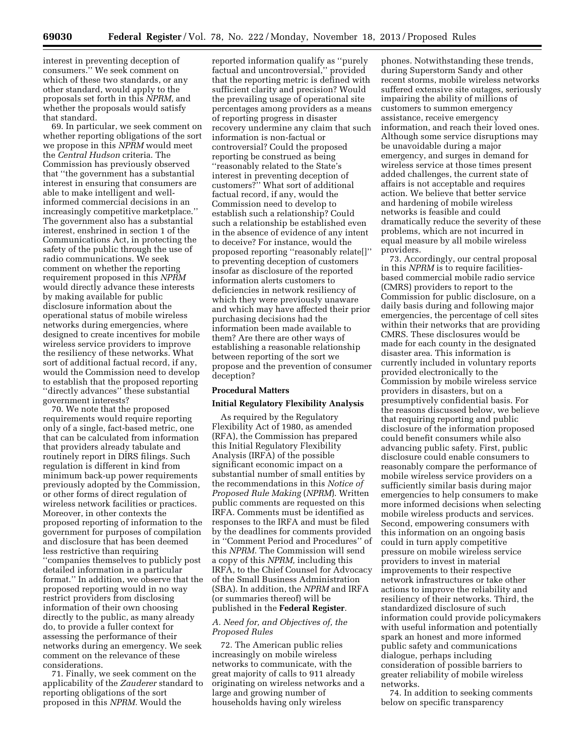interest in preventing deception of consumers.'' We seek comment on which of these two standards, or any other standard, would apply to the proposals set forth in this *NPRM,* and whether the proposals would satisfy that standard.

69. In particular, we seek comment on whether reporting obligations of the sort we propose in this *NPRM* would meet the *Central Hudson* criteria. The Commission has previously observed that ''the government has a substantial interest in ensuring that consumers are able to make intelligent and wellinformed commercial decisions in an increasingly competitive marketplace.'' The government also has a substantial interest, enshrined in section 1 of the Communications Act, in protecting the safety of the public through the use of radio communications. We seek comment on whether the reporting requirement proposed in this *NPRM*  would directly advance these interests by making available for public disclosure information about the operational status of mobile wireless networks during emergencies, where designed to create incentives for mobile wireless service providers to improve the resiliency of these networks. What sort of additional factual record, if any, would the Commission need to develop to establish that the proposed reporting ''directly advances'' these substantial government interests?

70. We note that the proposed requirements would require reporting only of a single, fact-based metric, one that can be calculated from information that providers already tabulate and routinely report in DIRS filings. Such regulation is different in kind from minimum back-up power requirements previously adopted by the Commission, or other forms of direct regulation of wireless network facilities or practices. Moreover, in other contexts the proposed reporting of information to the government for purposes of compilation and disclosure that has been deemed less restrictive than requiring ''companies themselves to publicly post detailed information in a particular format.'' In addition, we observe that the proposed reporting would in no way restrict providers from disclosing information of their own choosing directly to the public, as many already do, to provide a fuller context for assessing the performance of their networks during an emergency. We seek comment on the relevance of these considerations.

71. Finally, we seek comment on the applicability of the *Zauderer* standard to reporting obligations of the sort proposed in this *NPRM.* Would the

reported information qualify as ''purely factual and uncontroversial,'' provided that the reporting metric is defined with sufficient clarity and precision? Would the prevailing usage of operational site percentages among providers as a means of reporting progress in disaster recovery undermine any claim that such information is non-factual or controversial? Could the proposed reporting be construed as being ''reasonably related to the State's interest in preventing deception of customers?'' What sort of additional factual record, if any, would the Commission need to develop to establish such a relationship? Could such a relationship be established even in the absence of evidence of any intent to deceive? For instance, would the proposed reporting ''reasonably relate[]'' to preventing deception of customers insofar as disclosure of the reported information alerts customers to deficiencies in network resiliency of which they were previously unaware and which may have affected their prior purchasing decisions had the information been made available to them? Are there are other ways of establishing a reasonable relationship between reporting of the sort we propose and the prevention of consumer deception?

### **Procedural Matters**

#### **Initial Regulatory Flexibility Analysis**

As required by the Regulatory Flexibility Act of 1980, as amended (RFA), the Commission has prepared this Initial Regulatory Flexibility Analysis (IRFA) of the possible significant economic impact on a substantial number of small entities by the recommendations in this *Notice of Proposed Rule Making* (*NPRM*). Written public comments are requested on this IRFA. Comments must be identified as responses to the IRFA and must be filed by the deadlines for comments provided in ''Comment Period and Procedures'' of this *NPRM.* The Commission will send a copy of this *NPRM,* including this IRFA, to the Chief Counsel for Advocacy of the Small Business Administration (SBA). In addition, the *NPRM* and IRFA (or summaries thereof) will be published in the **Federal Register**.

### *A. Need for, and Objectives of, the Proposed Rules*

72. The American public relies increasingly on mobile wireless networks to communicate, with the great majority of calls to 911 already originating on wireless networks and a large and growing number of households having only wireless

phones. Notwithstanding these trends, during Superstorm Sandy and other recent storms, mobile wireless networks suffered extensive site outages, seriously impairing the ability of millions of customers to summon emergency assistance, receive emergency information, and reach their loved ones. Although some service disruptions may be unavoidable during a major emergency, and surges in demand for wireless service at those times present added challenges, the current state of affairs is not acceptable and requires action. We believe that better service and hardening of mobile wireless networks is feasible and could dramatically reduce the severity of these problems, which are not incurred in equal measure by all mobile wireless providers.

73. Accordingly, our central proposal in this *NPRM* is to require facilitiesbased commercial mobile radio service (CMRS) providers to report to the Commission for public disclosure, on a daily basis during and following major emergencies, the percentage of cell sites within their networks that are providing CMRS. These disclosures would be made for each county in the designated disaster area. This information is currently included in voluntary reports provided electronically to the Commission by mobile wireless service providers in disasters, but on a presumptively confidential basis. For the reasons discussed below, we believe that requiring reporting and public disclosure of the information proposed could benefit consumers while also advancing public safety. First, public disclosure could enable consumers to reasonably compare the performance of mobile wireless service providers on a sufficiently similar basis during major emergencies to help consumers to make more informed decisions when selecting mobile wireless products and services. Second, empowering consumers with this information on an ongoing basis could in turn apply competitive pressure on mobile wireless service providers to invest in material improvements to their respective network infrastructures or take other actions to improve the reliability and resiliency of their networks. Third, the standardized disclosure of such information could provide policymakers with useful information and potentially spark an honest and more informed public safety and communications dialogue, perhaps including consideration of possible barriers to greater reliability of mobile wireless networks.

74. In addition to seeking comments below on specific transparency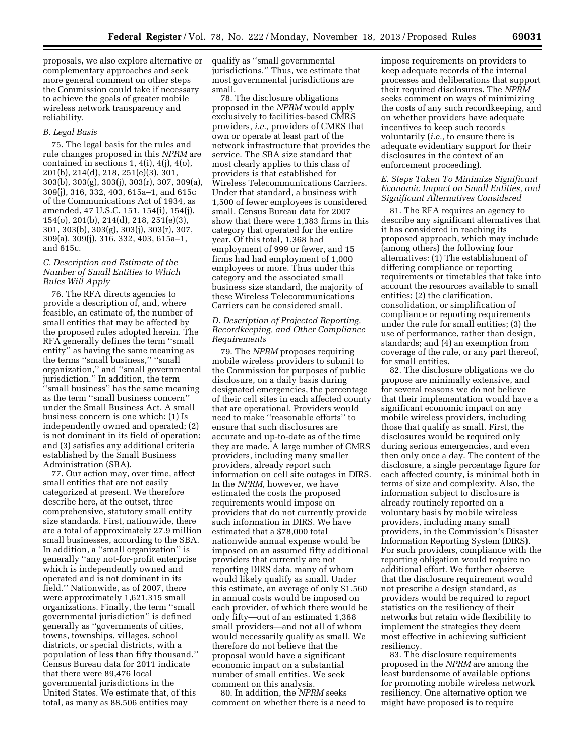proposals, we also explore alternative or complementary approaches and seek more general comment on other steps the Commission could take if necessary to achieve the goals of greater mobile wireless network transparency and reliability.

### *B. Legal Basis*

75. The legal basis for the rules and rule changes proposed in this *NPRM* are contained in sections  $1, 4(i), 4(i), 4(o)$ , 201(b), 214(d), 218, 251(e)(3), 301, 303(b), 303(g), 303(j), 303(r), 307, 309(a), 309(j), 316, 332, 403, 615a–1, and 615c of the Communications Act of 1934, as amended, 47 U.S.C. 151, 154(i), 154(j), 154(o), 201(b), 214(d), 218, 251(e)(3), 301, 303(b), 303(g), 303(j), 303(r), 307, 309(a), 309(j), 316, 332, 403, 615a–1, and 615c.

### *C. Description and Estimate of the Number of Small Entities to Which Rules Will Apply*

76. The RFA directs agencies to provide a description of, and, where feasible, an estimate of, the number of small entities that may be affected by the proposed rules adopted herein. The RFA generally defines the term ''small entity'' as having the same meaning as the terms ''small business,'' ''small organization,'' and ''small governmental jurisdiction.'' In addition, the term 'small business" has the same meaning as the term ''small business concern'' under the Small Business Act. A small business concern is one which: (1) Is independently owned and operated; (2) is not dominant in its field of operation; and (3) satisfies any additional criteria established by the Small Business Administration (SBA).

77. Our action may, over time, affect small entities that are not easily categorized at present. We therefore describe here, at the outset, three comprehensive, statutory small entity size standards. First, nationwide, there are a total of approximately 27.9 million small businesses, according to the SBA. In addition, a ''small organization'' is generally ''any not-for-profit enterprise which is independently owned and operated and is not dominant in its field.'' Nationwide, as of 2007, there were approximately 1,621,315 small organizations. Finally, the term ''small governmental jurisdiction'' is defined generally as ''governments of cities, towns, townships, villages, school districts, or special districts, with a population of less than fifty thousand.'' Census Bureau data for 2011 indicate that there were 89,476 local governmental jurisdictions in the United States. We estimate that, of this total, as many as 88,506 entities may

qualify as ''small governmental jurisdictions.'' Thus, we estimate that most governmental jurisdictions are small.

78. The disclosure obligations proposed in the *NPRM* would apply exclusively to facilities-based CMRS providers, *i.e.,* providers of CMRS that own or operate at least part of the network infrastructure that provides the service. The SBA size standard that most clearly applies to this class of providers is that established for Wireless Telecommunications Carriers. Under that standard, a business with 1,500 of fewer employees is considered small. Census Bureau data for 2007 show that there were 1,383 firms in this category that operated for the entire year. Of this total, 1,368 had employment of 999 or fewer, and 15 firms had had employment of 1,000 employees or more. Thus under this category and the associated small business size standard, the majority of these Wireless Telecommunications Carriers can be considered small.

## *D. Description of Projected Reporting, Recordkeeping, and Other Compliance Requirements*

79. The *NPRM* proposes requiring mobile wireless providers to submit to the Commission for purposes of public disclosure, on a daily basis during designated emergencies, the percentage of their cell sites in each affected county that are operational. Providers would need to make ''reasonable efforts'' to ensure that such disclosures are accurate and up-to-date as of the time they are made. A large number of CMRS providers, including many smaller providers, already report such information on cell site outages in DIRS. In the *NPRM,* however, we have estimated the costs the proposed requirements would impose on providers that do not currently provide such information in DIRS. We have estimated that a \$78,000 total nationwide annual expense would be imposed on an assumed fifty additional providers that currently are not reporting DIRS data, many of whom would likely qualify as small. Under this estimate, an average of only \$1,560 in annual costs would be imposed on each provider, of which there would be only fifty—out of an estimated 1,368 small providers—and not all of whom would necessarily qualify as small. We therefore do not believe that the proposal would have a significant economic impact on a substantial number of small entities. We seek comment on this analysis.

80. In addition, the *NPRM* seeks comment on whether there is a need to

impose requirements on providers to keep adequate records of the internal processes and deliberations that support their required disclosures. The *NPRM*  seeks comment on ways of minimizing the costs of any such recordkeeping, and on whether providers have adequate incentives to keep such records voluntarily (*i.e.,* to ensure there is adequate evidentiary support for their disclosures in the context of an enforcement proceeding).

## *E. Steps Taken To Minimize Significant Economic Impact on Small Entities, and Significant Alternatives Considered*

81. The RFA requires an agency to describe any significant alternatives that it has considered in reaching its proposed approach, which may include (among others) the following four alternatives: (1) The establishment of differing compliance or reporting requirements or timetables that take into account the resources available to small entities; (2) the clarification, consolidation, or simplification of compliance or reporting requirements under the rule for small entities; (3) the use of performance, rather than design, standards; and (4) an exemption from coverage of the rule, or any part thereof, for small entities.

82. The disclosure obligations we do propose are minimally extensive, and for several reasons we do not believe that their implementation would have a significant economic impact on any mobile wireless providers, including those that qualify as small. First, the disclosures would be required only during serious emergencies, and even then only once a day. The content of the disclosure, a single percentage figure for each affected county, is minimal both in terms of size and complexity. Also, the information subject to disclosure is already routinely reported on a voluntary basis by mobile wireless providers, including many small providers, in the Commission's Disaster Information Reporting System (DIRS). For such providers, compliance with the reporting obligation would require no additional effort. We further observe that the disclosure requirement would not prescribe a design standard, as providers would be required to report statistics on the resiliency of their networks but retain wide flexibility to implement the strategies they deem most effective in achieving sufficient resiliency.

83. The disclosure requirements proposed in the *NPRM* are among the least burdensome of available options for promoting mobile wireless network resiliency. One alternative option we might have proposed is to require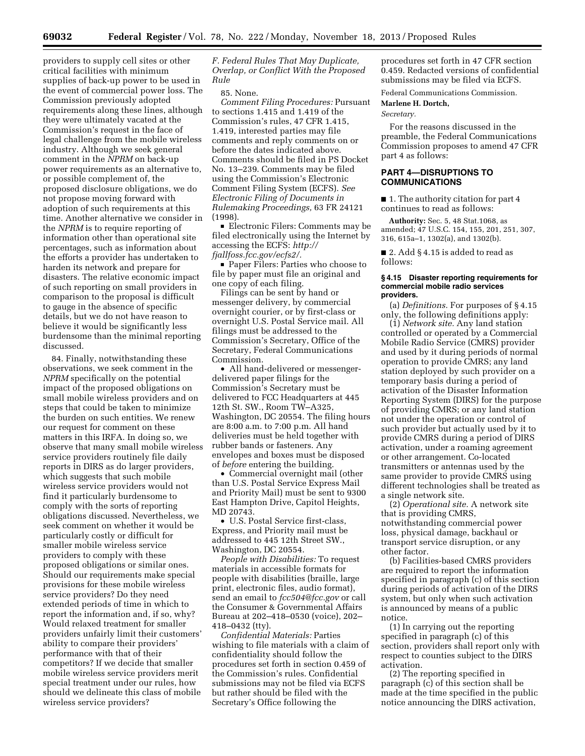providers to supply cell sites or other critical facilities with minimum supplies of back-up power to be used in the event of commercial power loss. The Commission previously adopted requirements along these lines, although they were ultimately vacated at the Commission's request in the face of legal challenge from the mobile wireless industry. Although we seek general comment in the *NPRM* on back-up power requirements as an alternative to, or possible complement of, the proposed disclosure obligations, we do not propose moving forward with adoption of such requirements at this time. Another alternative we consider in the *NPRM* is to require reporting of information other than operational site percentages, such as information about the efforts a provider has undertaken to harden its network and prepare for disasters. The relative economic impact of such reporting on small providers in comparison to the proposal is difficult to gauge in the absence of specific details, but we do not have reason to believe it would be significantly less burdensome than the minimal reporting discussed.

84. Finally, notwithstanding these observations, we seek comment in the *NPRM* specifically on the potential impact of the proposed obligations on small mobile wireless providers and on steps that could be taken to minimize the burden on such entities. We renew our request for comment on these matters in this IRFA. In doing so, we observe that many small mobile wireless service providers routinely file daily reports in DIRS as do larger providers, which suggests that such mobile wireless service providers would not find it particularly burdensome to comply with the sorts of reporting obligations discussed. Nevertheless, we seek comment on whether it would be particularly costly or difficult for smaller mobile wireless service providers to comply with these proposed obligations or similar ones. Should our requirements make special provisions for these mobile wireless service providers? Do they need extended periods of time in which to report the information and, if so, why? Would relaxed treatment for smaller providers unfairly limit their customers' ability to compare their providers' performance with that of their competitors? If we decide that smaller mobile wireless service providers merit special treatment under our rules, how should we delineate this class of mobile wireless service providers?

*F. Federal Rules That May Duplicate, Overlap, or Conflict With the Proposed Rule* 

#### 85. None.

*Comment Filing Procedures:* Pursuant to sections 1.415 and 1.419 of the Commission's rules, 47 CFR 1.415, 1.419, interested parties may file comments and reply comments on or before the dates indicated above. Comments should be filed in PS Docket No. 13–239. Comments may be filed using the Commission's Electronic Comment Filing System (ECFS). *See Electronic Filing of Documents in Rulemaking Proceedings,* 63 FR 24121 (1998).

■ Electronic Filers: Comments may be filed electronically using the Internet by accessing the ECFS: *[http://](http://fjallfoss.fcc.gov/ecfs2/) [fjallfoss.fcc.gov/ecfs2/.](http://fjallfoss.fcc.gov/ecfs2/)* 

■ Paper Filers: Parties who choose to file by paper must file an original and one copy of each filing.

Filings can be sent by hand or messenger delivery, by commercial overnight courier, or by first-class or overnight U.S. Postal Service mail. All filings must be addressed to the Commission's Secretary, Office of the Secretary, Federal Communications Commission.

• All hand-delivered or messengerdelivered paper filings for the Commission's Secretary must be delivered to FCC Headquarters at 445 12th St. SW., Room TW–A325, Washington, DC 20554. The filing hours are 8:00 a.m. to 7:00 p.m. All hand deliveries must be held together with rubber bands or fasteners. Any envelopes and boxes must be disposed of *before* entering the building.

• Commercial overnight mail (other than U.S. Postal Service Express Mail and Priority Mail) must be sent to 9300 East Hampton Drive, Capitol Heights, MD 20743.

• U.S. Postal Service first-class, Express, and Priority mail must be addressed to 445 12th Street SW., Washington, DC 20554.

*People with Disabilities:* To request materials in accessible formats for people with disabilities (braille, large print, electronic files, audio format), send an email to *[fcc504@fcc.gov](mailto:fcc504@fcc.gov)* or call the Consumer & Governmental Affairs Bureau at 202–418–0530 (voice), 202– 418–0432 (tty).

*Confidential Materials:* Parties wishing to file materials with a claim of confidentiality should follow the procedures set forth in section 0.459 of the Commission's rules. Confidential submissions may not be filed via ECFS but rather should be filed with the Secretary's Office following the

procedures set forth in 47 CFR section 0.459. Redacted versions of confidential submissions may be filed via ECFS.

Federal Communications Commission.

**Marlene H. Dortch,** 

*Secretary.* 

For the reasons discussed in the preamble, the Federal Communications Commission proposes to amend 47 CFR part 4 as follows:

# **PART 4—DISRUPTIONS TO COMMUNICATIONS**

■ 1. The authority citation for part 4 continues to read as follows:

**Authority:** Sec. 5, 48 Stat.1068, as amended; 47 U.S.C. 154, 155, 201, 251, 307, 316, 615a–1, 1302(a), and 1302(b).

■ 2. Add § 4.15 is added to read as follows:

#### **§ 4.15 Disaster reporting requirements for commercial mobile radio services providers.**

(a) *Definitions.* For purposes of § 4.15 only, the following definitions apply:

(1) *Network site.* Any land station controlled or operated by a Commercial Mobile Radio Service (CMRS) provider and used by it during periods of normal operation to provide CMRS; any land station deployed by such provider on a temporary basis during a period of activation of the Disaster Information Reporting System (DIRS) for the purpose of providing CMRS; or any land station not under the operation or control of such provider but actually used by it to provide CMRS during a period of DIRS activation, under a roaming agreement or other arrangement. Co-located transmitters or antennas used by the same provider to provide CMRS using different technologies shall be treated as a single network site.

(2) *Operational site.* A network site that is providing CMRS, notwithstanding commercial power loss, physical damage, backhaul or transport service disruption, or any other factor.

(b) Facilities-based CMRS providers are required to report the information specified in paragraph (c) of this section during periods of activation of the DIRS system, but only when such activation is announced by means of a public notice.

(1) In carrying out the reporting specified in paragraph (c) of this section, providers shall report only with respect to counties subject to the DIRS activation.

(2) The reporting specified in paragraph (c) of this section shall be made at the time specified in the public notice announcing the DIRS activation,